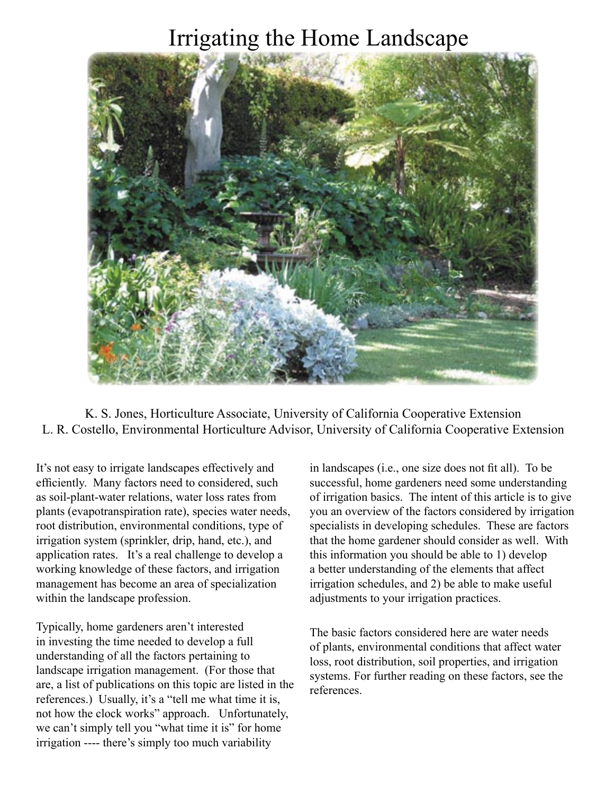# Irrigating the Home Landscape



K. S. Jones, Horticulture Associate, University of California Cooperative Extension L. R. Costello, Environmental Horticulture Advisor, University of California Cooperative Extension

It's not easy to irrigate landscapes effectively and efficiently. Many factors need to considered, such as soil-plant-water relations, water loss rates from plants (evapotranspiration rate), species water needs, root distribution, environmental conditions, type of irrigation system (sprinkler, drip, hand, etc.), and application rates. It's a real challenge to develop a working knowledge of these factors, and irrigation management has become an area of specialization within the landscape profession.

Typically, home gardeners aren't interested in investing the time needed to develop a full understanding of all the factors pertaining to landscape irrigation management. (For those that are, a list of publications on this topic are listed in the references.) Usually, it's a "tell me what time it is, not how the clock works" approach. Unfortunately, we can't simply tell you "what time it is" for home irrigation ---- there's simply too much variability

in landscapes (i.e., one size does not fit all). To be successful, home gardeners need some understanding of irrigation basics. The intent of this article is to give you an overview of the factors considered by irrigation specialists in developing schedules. These are factors that the home gardener should consider as well. With this information you should be able to 1) develop a better understanding of the elements that affect irrigation schedules, and 2) be able to make useful adjustments to your irrigation practices.

The basic factors considered here are water needs of plants, environmental conditions that affect water loss, root distribution, soil properties, and irrigation systems. For further reading on these factors, see the references.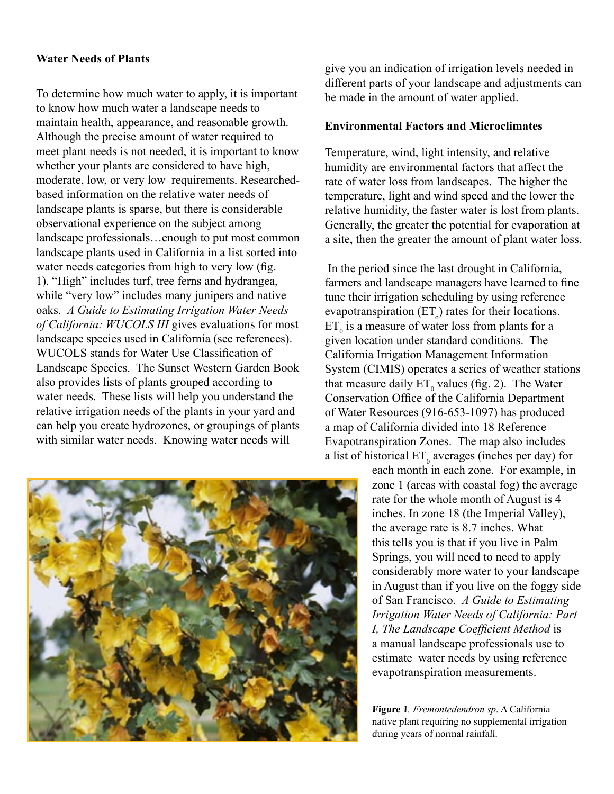## **Water Needs of Plants**

To determine how much water to apply, it is important to know how much water a landscape needs to maintain health, appearance, and reasonable growth. Although the precise amount of water required to meet plant needs is not needed, it is important to know whether your plants are considered to have high, moderate, low, or very low requirements. Researchedbased information on the relative water needs of landscape plants is sparse, but there is considerable observational experience on the subject among landscape professionals…enough to put most common landscape plants used in California in a list sorted into water needs categories from high to very low (fig. 1). "High" includes turf, tree ferns and hydrangea, while "very low" includes many junipers and native oaks. *A Guide to Estimating Irrigation Water Needs of California: WUCOLS III* gives evaluations for most landscape species used in California (see references). WUCOLS stands for Water Use Classification of Landscape Species. The Sunset Western Garden Book also provides lists of plants grouped according to water needs. These lists will help you understand the relative irrigation needs of the plants in your yard and can help you create hydrozones, or groupings of plants with similar water needs. Knowing water needs will

give you an indication of irrigation levels needed in different parts of your landscape and adjustments can be made in the amount of water applied.

#### **Environmental Factors and Microclimates**

Temperature, wind, light intensity, and relative humidity are environmental factors that affect the rate of water loss from landscapes. The higher the temperature, light and wind speed and the lower the relative humidity, the faster water is lost from plants. Generally, the greater the potential for evaporation at a site, then the greater the amount of plant water loss.

 In the period since the last drought in California, farmers and landscape managers have learned to fine tune their irrigation scheduling by using reference evapotranspiration  $(ET_0)$  rates for their locations.  $ET_0$  is a measure of water loss from plants for a given location under standard conditions. The California Irrigation Management Information System (CIMIS) operates a series of weather stations that measure daily  $ET_0$  values (fig. 2). The Water Conservation Office of the California Department of Water Resources (916-653-1097) has produced a map of California divided into 18 Reference Evapotranspiration Zones. The map also includes a list of historical  $ET_0$  averages (inches per day) for

each month in each zone. For example, in zone 1 (areas with coastal fog) the average rate for the whole month of August is 4 inches. In zone 18 (the Imperial Valley), the average rate is 8.7 inches. What this tells you is that if you live in Palm Springs, you will need to need to apply considerably more water to your landscape in August than if you live on the foggy side of San Francisco. *A Guide to Estimating Irrigation Water Needs of California: Part I, The Landscape Coefficient Method* is a manual landscape professionals use to estimate water needs by using reference evapotranspiration measurements.

**Figure 1***. Fremontedendron sp*. A California native plant requiring no supplemental irrigation during years of normal rainfall.

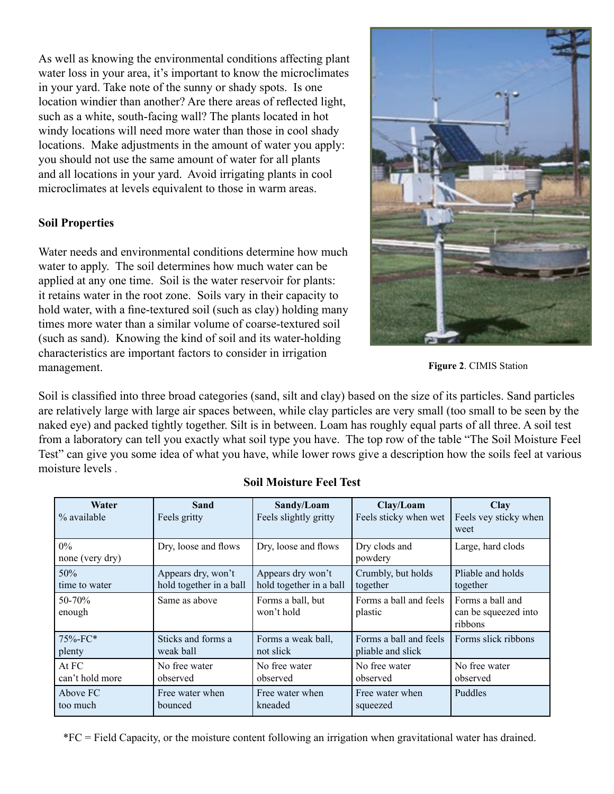As well as knowing the environmental conditions affecting plant water loss in your area, it's important to know the microclimates in your yard. Take note of the sunny or shady spots. Is one location windier than another? Are there areas of reflected light, such as a white, south-facing wall? The plants located in hot windy locations will need more water than those in cool shady locations. Make adjustments in the amount of water you apply: you should not use the same amount of water for all plants and all locations in your yard. Avoid irrigating plants in cool microclimates at levels equivalent to those in warm areas.

# **Soil Properties**

Water needs and environmental conditions determine how much water to apply. The soil determines how much water can be applied at any one time. Soil is the water reservoir for plants: it retains water in the root zone. Soils vary in their capacity to hold water, with a fine-textured soil (such as clay) holding many times more water than a similar volume of coarse-textured soil (such as sand). Knowing the kind of soil and its water-holding characteristics are important factors to consider in irrigation management.

Soil is classified into three broad categories (sand, silt and clay) based on the size of its particles. Sand particles are relatively large with large air spaces between, while clay particles are very small (too small to be seen by the naked eye) and packed tightly together. Silt is in between. Loam has roughly equal parts of all three. A soil test from a laboratory can tell you exactly what soil type you have. The top row of the table "The Soil Moisture Feel Test" can give you some idea of what you have, while lower rows give a description how the soils feel at various moisture levels .

| Water<br>% available     | Sand<br>Feels gritty    | Sandy/Loam<br>Feels slightly gritty | Clay/Loam<br>Feels sticky when wet | <b>Clay</b><br>Feels vey sticky when<br>weet        |
|--------------------------|-------------------------|-------------------------------------|------------------------------------|-----------------------------------------------------|
| $0\%$<br>none (very dry) | Dry, loose and flows    | Dry, loose and flows                | Dry clods and<br>powdery           | Large, hard clods                                   |
| 50%                      | Appears dry, won't      | Appears dry won't                   | Crumbly, but holds                 | Pliable and holds                                   |
| time to water            | hold together in a ball | hold together in a ball             | together                           | together                                            |
| 50-70%<br>enough         | Same as above           | Forms a ball, but<br>won't hold     | Forms a ball and feels<br>plastic  | Forms a ball and<br>can be squeezed into<br>ribbons |
| 75%-FC*                  | Sticks and forms a      | Forms a weak ball,                  | Forms a ball and feels             | Forms slick ribbons                                 |
| plenty                   | weak ball               | not slick                           | pliable and slick                  |                                                     |
| At FC                    | No free water           | No free water                       | No free water                      | No free water                                       |
| can't hold more          | observed                | observed                            | observed                           | observed                                            |
| Above FC                 | Free water when         | Free water when                     | Free water when                    | Puddles                                             |
| too much                 | bounced                 | kneaded                             | squeezed                           |                                                     |

#### **Soil Moisture Feel Test**

\*FC = Field Capacity, or the moisture content following an irrigation when gravitational water has drained.



**Figure 2**. CIMIS Station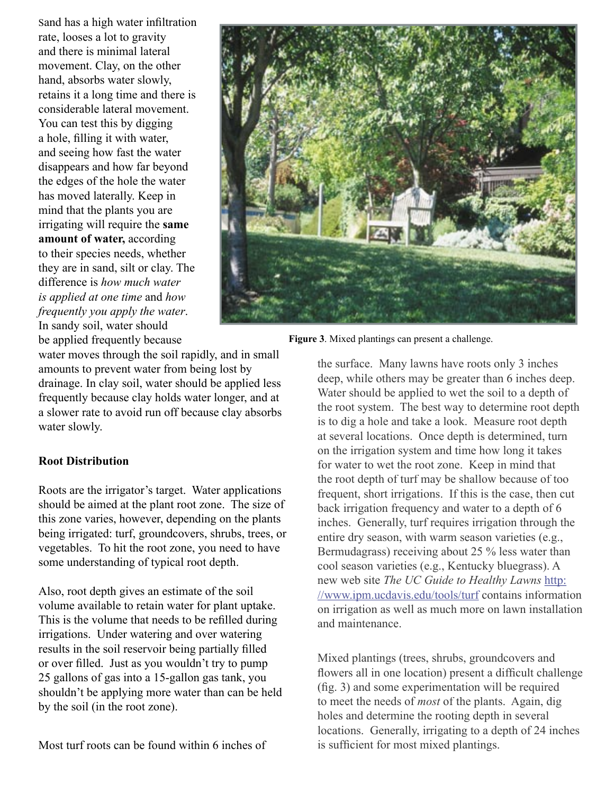Sand has a high water infiltration rate, looses a lot to gravity and there is minimal lateral movement. Clay, on the other hand, absorbs water slowly, retains it a long time and there is considerable lateral movement. You can test this by digging a hole, filling it with water, and seeing how fast the water disappears and how far beyond the edges of the hole the water has moved laterally. Keep in mind that the plants you are irrigating will require the **same amount of water,** according to their species needs, whether they are in sand, silt or clay. The difference is *how much water is applied at one time* and *how frequently you apply the water*. In sandy soil, water should be applied frequently because



**Figure 3**. Mixed plantings can present a challenge.

water moves through the soil rapidly, and in small amounts to prevent water from being lost by drainage. In clay soil, water should be applied less frequently because clay holds water longer, and at a slower rate to avoid run off because clay absorbs water slowly.

## **Root Distribution**

Roots are the irrigator's target. Water applications should be aimed at the plant root zone. The size of this zone varies, however, depending on the plants being irrigated: turf, groundcovers, shrubs, trees, or vegetables. To hit the root zone, you need to have some understanding of typical root depth.

Also, root depth gives an estimate of the soil volume available to retain water for plant uptake. This is the volume that needs to be refilled during irrigations. Under watering and over watering results in the soil reservoir being partially filled or over filled. Just as you wouldn't try to pump 25 gallons of gas into a 15-gallon gas tank, you shouldn't be applying more water than can be held by the soil (in the root zone).

Most turf roots can be found within 6 inches of

the surface. Many lawns have roots only 3 inches deep, while others may be greater than 6 inches deep. Water should be applied to wet the soil to a depth of the root system. The best way to determine root depth is to dig a hole and take a look. Measure root depth at several locations. Once depth is determined, turn on the irrigation system and time how long it takes for water to wet the root zone. Keep in mind that the root depth of turf may be shallow because of too frequent, short irrigations. If this is the case, then cut back irrigation frequency and water to a depth of 6 inches. Generally, turf requires irrigation through the entire dry season, with warm season varieties (e.g., Bermudagrass) receiving about 25 % less water than cool season varieties (e.g., Kentucky bluegrass). A new web site *The UC Guide to Healthy Lawns* http: //www.ipm.ucdavis.edu/tools/turf contains information on irrigation as well as much more on lawn installation and maintenance.

Mixed plantings (trees, shrubs, groundcovers and flowers all in one location) present a difficult challenge  $(f_1, g_2)$  and some experimentation will be required to meet the needs of *most* of the plants. Again, dig holes and determine the rooting depth in several locations. Generally, irrigating to a depth of 24 inches is sufficient for most mixed plantings.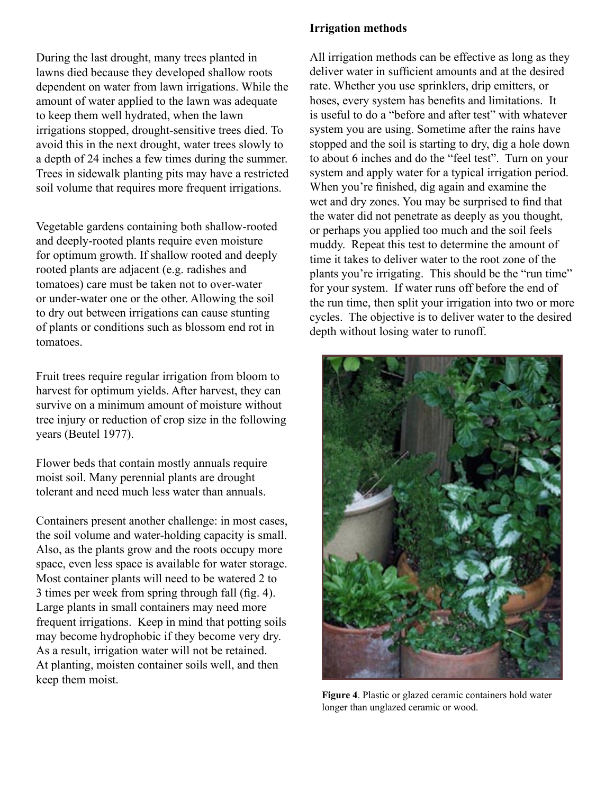During the last drought, many trees planted in lawns died because they developed shallow roots dependent on water from lawn irrigations. While the amount of water applied to the lawn was adequate to keep them well hydrated, when the lawn irrigations stopped, drought-sensitive trees died. To avoid this in the next drought, water trees slowly to a depth of 24 inches a few times during the summer. Trees in sidewalk planting pits may have a restricted soil volume that requires more frequent irrigations.

Vegetable gardens containing both shallow-rooted and deeply-rooted plants require even moisture for optimum growth. If shallow rooted and deeply rooted plants are adjacent (e.g. radishes and tomatoes) care must be taken not to over-water or under-water one or the other. Allowing the soil to dry out between irrigations can cause stunting of plants or conditions such as blossom end rot in tomatoes.

Fruit trees require regular irrigation from bloom to harvest for optimum yields. After harvest, they can survive on a minimum amount of moisture without tree injury or reduction of crop size in the following years (Beutel 1977).

Flower beds that contain mostly annuals require moist soil. Many perennial plants are drought tolerant and need much less water than annuals.

Containers present another challenge: in most cases, the soil volume and water-holding capacity is small. Also, as the plants grow and the roots occupy more space, even less space is available for water storage. Most container plants will need to be watered 2 to 3 times per week from spring through fall (fig. 4). Large plants in small containers may need more frequent irrigations. Keep in mind that potting soils may become hydrophobic if they become very dry. As a result, irrigation water will not be retained. At planting, moisten container soils well, and then keep them moist.

## **Irrigation methods**

All irrigation methods can be effective as long as they deliver water in sufficient amounts and at the desired rate. Whether you use sprinklers, drip emitters, or hoses, every system has benefits and limitations. It is useful to do a "before and after test" with whatever system you are using. Sometime after the rains have stopped and the soil is starting to dry, dig a hole down to about 6 inches and do the "feel test". Turn on your system and apply water for a typical irrigation period. When you're finished, dig again and examine the wet and dry zones. You may be surprised to find that the water did not penetrate as deeply as you thought, or perhaps you applied too much and the soil feels muddy. Repeat this test to determine the amount of time it takes to deliver water to the root zone of the plants you're irrigating. This should be the "run time" for your system. If water runs off before the end of the run time, then split your irrigation into two or more cycles. The objective is to deliver water to the desired depth without losing water to runoff.



**Figure 4**. Plastic or glazed ceramic containers hold water longer than unglazed ceramic or wood.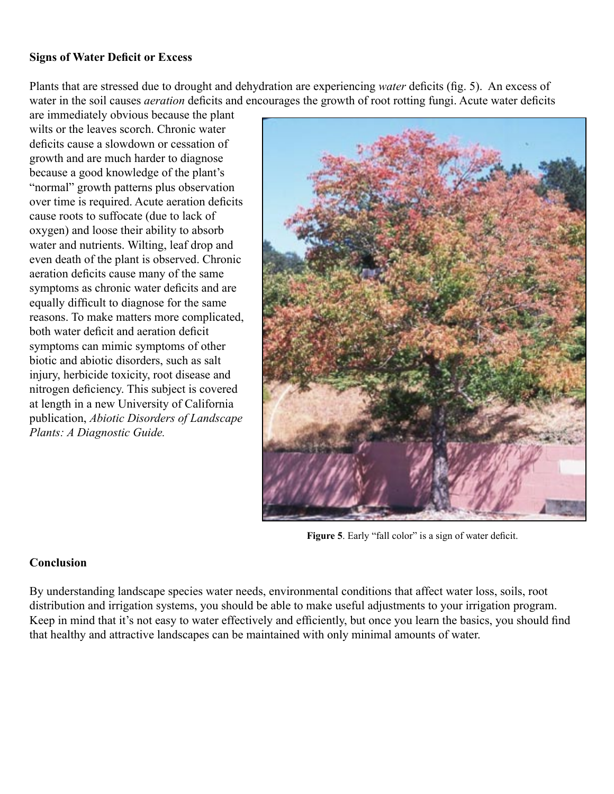# **Signs of Water Deficit or Excess**

Plants that are stressed due to drought and dehydration are experiencing *water* deficits (fig. 5). An excess of water in the soil causes *aeration* deficits and encourages the growth of root rotting fungi. Acute water deficits

are immediately obvious because the plant wilts or the leaves scorch. Chronic water deficits cause a slowdown or cessation of growth and are much harder to diagnose because a good knowledge of the plant's "normal" growth patterns plus observation over time is required. Acute aeration deficits cause roots to suffocate (due to lack of oxygen) and loose their ability to absorb water and nutrients. Wilting, leaf drop and even death of the plant is observed. Chronic aeration deficits cause many of the same symptoms as chronic water deficits and are equally difficult to diagnose for the same reasons. To make matters more complicated, both water deficit and aeration deficit symptoms can mimic symptoms of other biotic and abiotic disorders, such as salt injury, herbicide toxicity, root disease and nitrogen deficiency. This subject is covered at length in a new University of California publication, *Abiotic Disorders of Landscape Plants: A Diagnostic Guide.*



Figure 5. Early "fall color" is a sign of water deficit.

# **Conclusion**

By understanding landscape species water needs, environmental conditions that affect water loss, soils, root distribution and irrigation systems, you should be able to make useful adjustments to your irrigation program. Keep in mind that it's not easy to water effectively and efficiently, but once you learn the basics, you should find that healthy and attractive landscapes can be maintained with only minimal amounts of water.